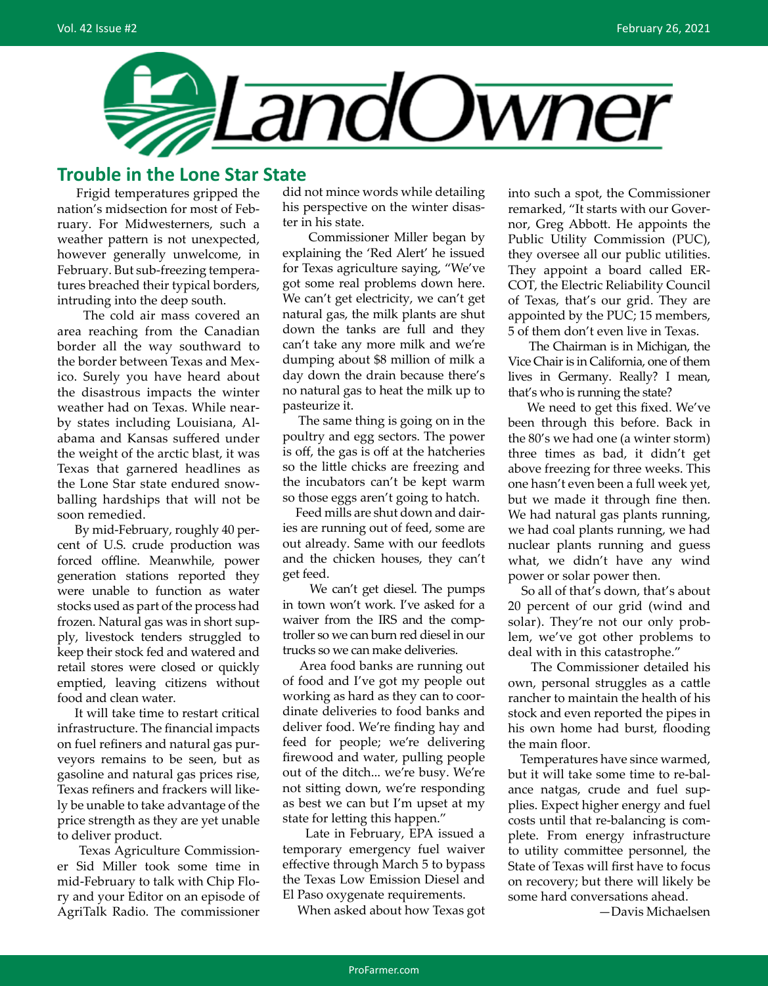

### **Trouble in the Lone Star State**

 Frigid temperatures gripped the nation's midsection for most of February. For Midwesterners, such a weather pattern is not unexpected, however generally unwelcome, in February. But sub-freezing temperatures breached their typical borders, intruding into the deep south.

 The cold air mass covered an area reaching from the Canadian border all the way southward to the border between Texas and Mexico. Surely you have heard about the disastrous impacts the winter weather had on Texas. While nearby states including Louisiana, Alabama and Kansas suffered under the weight of the arctic blast, it was Texas that garnered headlines as the Lone Star state endured snowballing hardships that will not be soon remedied.

 By mid-February, roughly 40 percent of U.S. crude production was forced offline. Meanwhile, power generation stations reported they were unable to function as water stocks used as part of the process had frozen. Natural gas was in short supply, livestock tenders struggled to keep their stock fed and watered and retail stores were closed or quickly emptied, leaving citizens without food and clean water.

 It will take time to restart critical infrastructure. The financial impacts on fuel refiners and natural gas purveyors remains to be seen, but as gasoline and natural gas prices rise, Texas refiners and frackers will likely be unable to take advantage of the price strength as they are yet unable to deliver product.

 Texas Agriculture Commissioner Sid Miller took some time in mid-February to talk with Chip Flory and your Editor on an episode of AgriTalk Radio. The commissioner did not mince words while detailing his perspective on the winter disaster in his state.

 Commissioner Miller began by explaining the 'Red Alert' he issued for Texas agriculture saying, "We've got some real problems down here. We can't get electricity, we can't get natural gas, the milk plants are shut down the tanks are full and they can't take any more milk and we're dumping about \$8 million of milk a day down the drain because there's no natural gas to heat the milk up to pasteurize it.

 The same thing is going on in the poultry and egg sectors. The power is off, the gas is off at the hatcheries so the little chicks are freezing and the incubators can't be kept warm so those eggs aren't going to hatch.

 Feed mills are shut down and dairies are running out of feed, some are out already. Same with our feedlots and the chicken houses, they can't get feed.

 We can't get diesel. The pumps in town won't work. I've asked for a waiver from the IRS and the comptroller so we can burn red diesel in our trucks so we can make deliveries.

 Area food banks are running out of food and I've got my people out working as hard as they can to coordinate deliveries to food banks and deliver food. We're finding hay and feed for people; we're delivering firewood and water, pulling people out of the ditch... we're busy. We're not sitting down, we're responding as best we can but I'm upset at my state for letting this happen."

 Late in February, EPA issued a temporary emergency fuel waiver effective through March 5 to bypass the Texas Low Emission Diesel and El Paso oxygenate requirements.

When asked about how Texas got

into such a spot, the Commissioner remarked, "It starts with our Governor, Greg Abbott. He appoints the Public Utility Commission (PUC), they oversee all our public utilities. They appoint a board called ER-COT, the Electric Reliability Council of Texas, that's our grid. They are appointed by the PUC; 15 members, 5 of them don't even live in Texas.

 The Chairman is in Michigan, the Vice Chair is in California, one of them lives in Germany. Really? I mean, that's who is running the state?

 We need to get this fixed. We've been through this before. Back in the 80's we had one (a winter storm) three times as bad, it didn't get above freezing for three weeks. This one hasn't even been a full week yet, but we made it through fine then. We had natural gas plants running, we had coal plants running, we had nuclear plants running and guess what, we didn't have any wind power or solar power then.

 So all of that's down, that's about 20 percent of our grid (wind and solar). They're not our only problem, we've got other problems to deal with in this catastrophe."

 The Commissioner detailed his own, personal struggles as a cattle rancher to maintain the health of his stock and even reported the pipes in his own home had burst, flooding the main floor.

 Temperatures have since warmed, but it will take some time to re-balance natgas, crude and fuel supplies. Expect higher energy and fuel costs until that re-balancing is complete. From energy infrastructure to utility committee personnel, the State of Texas will first have to focus on recovery; but there will likely be some hard conversations ahead.

—Davis Michaelsen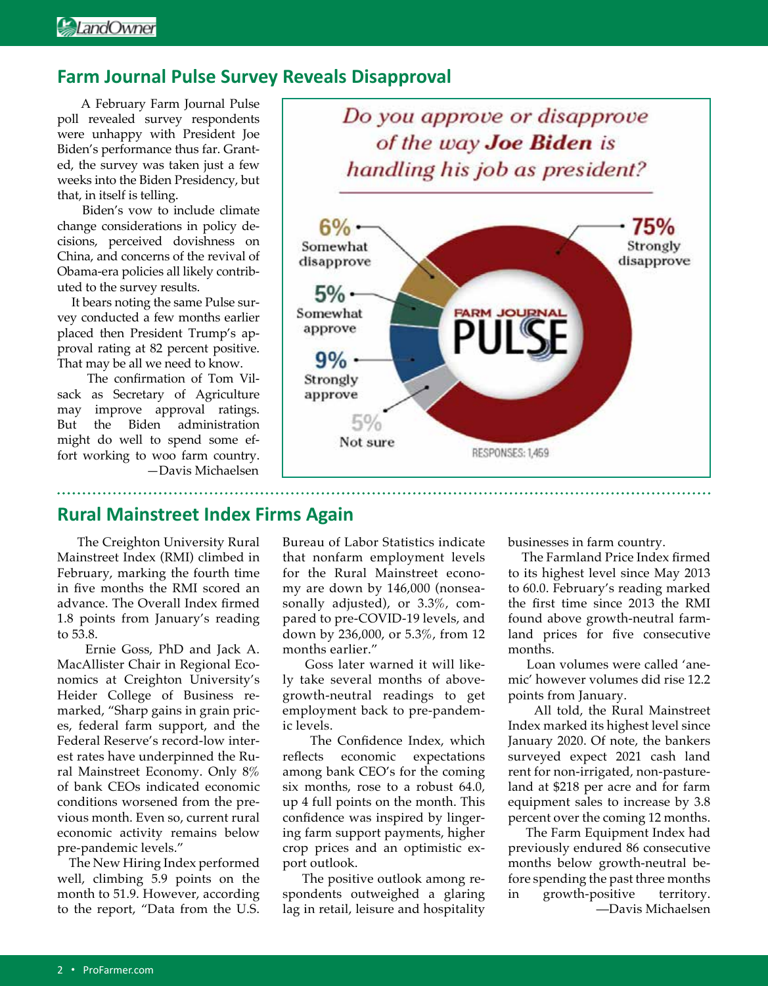### **Farm Journal Pulse Survey Reveals Disapproval**

A February Farm Journal Pulse poll revealed survey respondents were unhappy with President Joe Biden's performance thus far. Granted, the survey was taken just a few weeks into the Biden Presidency, but that, in itself is telling.

 Biden's vow to include climate change considerations in policy decisions, perceived dovishness on China, and concerns of the revival of Obama-era policies all likely contributed to the survey results.

 It bears noting the same Pulse survey conducted a few months earlier placed then President Trump's approval rating at 82 percent positive. That may be all we need to know.

 The confirmation of Tom Vilsack as Secretary of Agriculture may improve approval ratings. But the Biden administration might do well to spend some effort working to woo farm country. —Davis Michaelsen



### **Rural Mainstreet Index Firms Again**

 The Creighton University Rural Mainstreet Index (RMI) climbed in February, marking the fourth time in five months the RMI scored an advance. The Overall Index firmed 1.8 points from January's reading to 53.8.

 Ernie Goss, PhD and Jack A. MacAllister Chair in Regional Economics at Creighton University's Heider College of Business remarked, "Sharp gains in grain prices, federal farm support, and the Federal Reserve's record-low interest rates have underpinned the Rural Mainstreet Economy. Only 8% of bank CEOs indicated economic conditions worsened from the previous month. Even so, current rural economic activity remains below pre-pandemic levels."

 The New Hiring Index performed well, climbing 5.9 points on the month to 51.9. However, according to the report, "Data from the U.S.

Bureau of Labor Statistics indicate that nonfarm employment levels for the Rural Mainstreet economy are down by 146,000 (nonseasonally adjusted), or 3.3%, compared to pre-COVID-19 levels, and down by 236,000, or 5.3%, from 12 months earlier."

 Goss later warned it will likely take several months of abovegrowth-neutral readings to get employment back to pre-pandemic levels.

 The Confidence Index, which reflects economic expectations among bank CEO's for the coming six months, rose to a robust 64.0, up 4 full points on the month. This confidence was inspired by lingering farm support payments, higher crop prices and an optimistic export outlook.

 The positive outlook among respondents outweighed a glaring lag in retail, leisure and hospitality businesses in farm country.

 The Farmland Price Index firmed to its highest level since May 2013 to 60.0. February's reading marked the first time since 2013 the RMI found above growth-neutral farmland prices for five consecutive months.

 Loan volumes were called 'anemic' however volumes did rise 12.2 points from January.

 All told, the Rural Mainstreet Index marked its highest level since January 2020. Of note, the bankers surveyed expect 2021 cash land rent for non-irrigated, non-pastureland at \$218 per acre and for farm equipment sales to increase by 3.8 percent over the coming 12 months.

 The Farm Equipment Index had previously endured 86 consecutive months below growth-neutral before spending the past three months in growth-positive territory. —Davis Michaelsen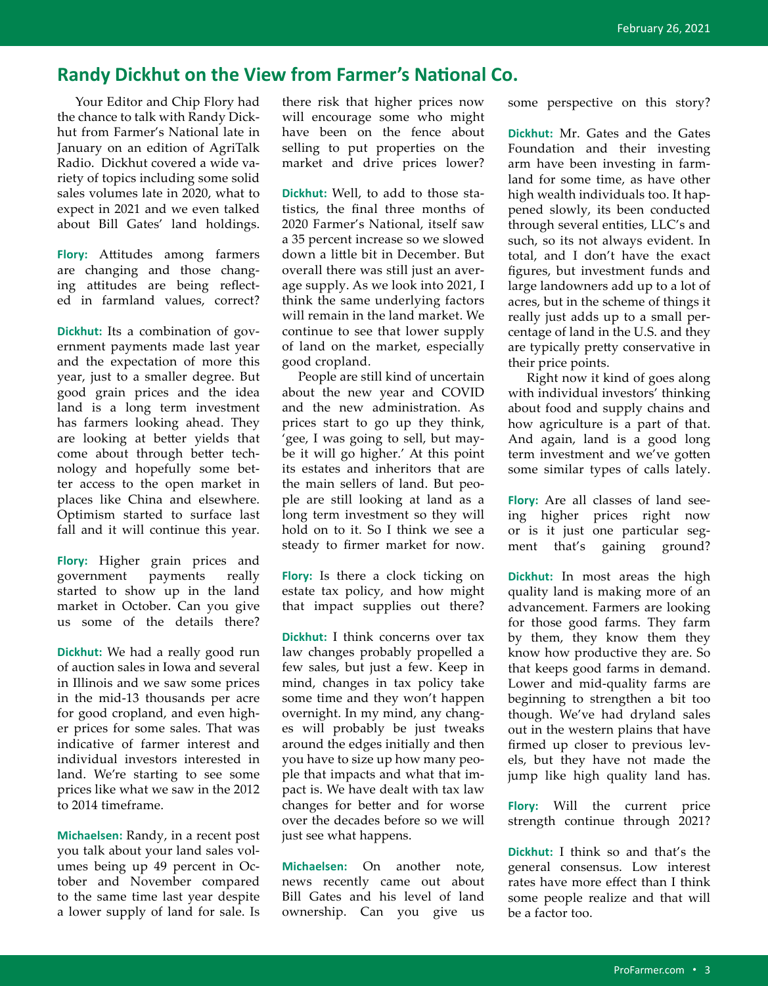### **Randy Dickhut on the View from Farmer's National Co.**

 Your Editor and Chip Flory had the chance to talk with Randy Dickhut from Farmer's National late in January on an edition of AgriTalk Radio. Dickhut covered a wide variety of topics including some solid sales volumes late in 2020, what to expect in 2021 and we even talked about Bill Gates' land holdings.

**Flory:** Attitudes among farmers are changing and those changing attitudes are being reflected in farmland values, correct?

**Dickhut:** Its a combination of government payments made last year and the expectation of more this year, just to a smaller degree. But good grain prices and the idea land is a long term investment has farmers looking ahead. They are looking at better yields that come about through better technology and hopefully some better access to the open market in places like China and elsewhere. Optimism started to surface last fall and it will continue this year.

**Flory:** Higher grain prices and government payments really started to show up in the land market in October. Can you give us some of the details there?

**Dickhut:** We had a really good run of auction sales in Iowa and several in Illinois and we saw some prices in the mid-13 thousands per acre for good cropland, and even higher prices for some sales. That was indicative of farmer interest and individual investors interested in land. We're starting to see some prices like what we saw in the 2012 to 2014 timeframe.

**Michaelsen:** Randy, in a recent post you talk about your land sales volumes being up 49 percent in October and November compared to the same time last year despite a lower supply of land for sale. Is there risk that higher prices now will encourage some who might have been on the fence about selling to put properties on the market and drive prices lower?

**Dickhut:** Well, to add to those statistics, the final three months of 2020 Farmer's National, itself saw a 35 percent increase so we slowed down a little bit in December. But overall there was still just an average supply. As we look into 2021, I think the same underlying factors will remain in the land market. We continue to see that lower supply of land on the market, especially good cropland.

 People are still kind of uncertain about the new year and COVID and the new administration. As prices start to go up they think, 'gee, I was going to sell, but maybe it will go higher.' At this point its estates and inheritors that are the main sellers of land. But people are still looking at land as a long term investment so they will hold on to it. So I think we see a steady to firmer market for now.

**Flory:** Is there a clock ticking on estate tax policy, and how might that impact supplies out there?

**Dickhut:** I think concerns over tax law changes probably propelled a few sales, but just a few. Keep in mind, changes in tax policy take some time and they won't happen overnight. In my mind, any changes will probably be just tweaks around the edges initially and then you have to size up how many people that impacts and what that impact is. We have dealt with tax law changes for better and for worse over the decades before so we will just see what happens.

**Michaelsen:** On another note, news recently came out about Bill Gates and his level of land ownership. Can you give us some perspective on this story?

**Dickhut:** Mr. Gates and the Gates Foundation and their investing arm have been investing in farmland for some time, as have other high wealth individuals too. It happened slowly, its been conducted through several entities, LLC's and such, so its not always evident. In total, and I don't have the exact figures, but investment funds and large landowners add up to a lot of acres, but in the scheme of things it really just adds up to a small percentage of land in the U.S. and they are typically pretty conservative in their price points.

 Right now it kind of goes along with individual investors' thinking about food and supply chains and how agriculture is a part of that. And again, land is a good long term investment and we've gotten some similar types of calls lately.

**Flory:** Are all classes of land seeing higher prices right now or is it just one particular segment that's gaining ground?

**Dickhut:** In most areas the high quality land is making more of an advancement. Farmers are looking for those good farms. They farm by them, they know them they know how productive they are. So that keeps good farms in demand. Lower and mid-quality farms are beginning to strengthen a bit too though. We've had dryland sales out in the western plains that have firmed up closer to previous levels, but they have not made the jump like high quality land has.

**Flory:** Will the current price strength continue through 2021?

**Dickhut:** I think so and that's the general consensus. Low interest rates have more effect than I think some people realize and that will be a factor too.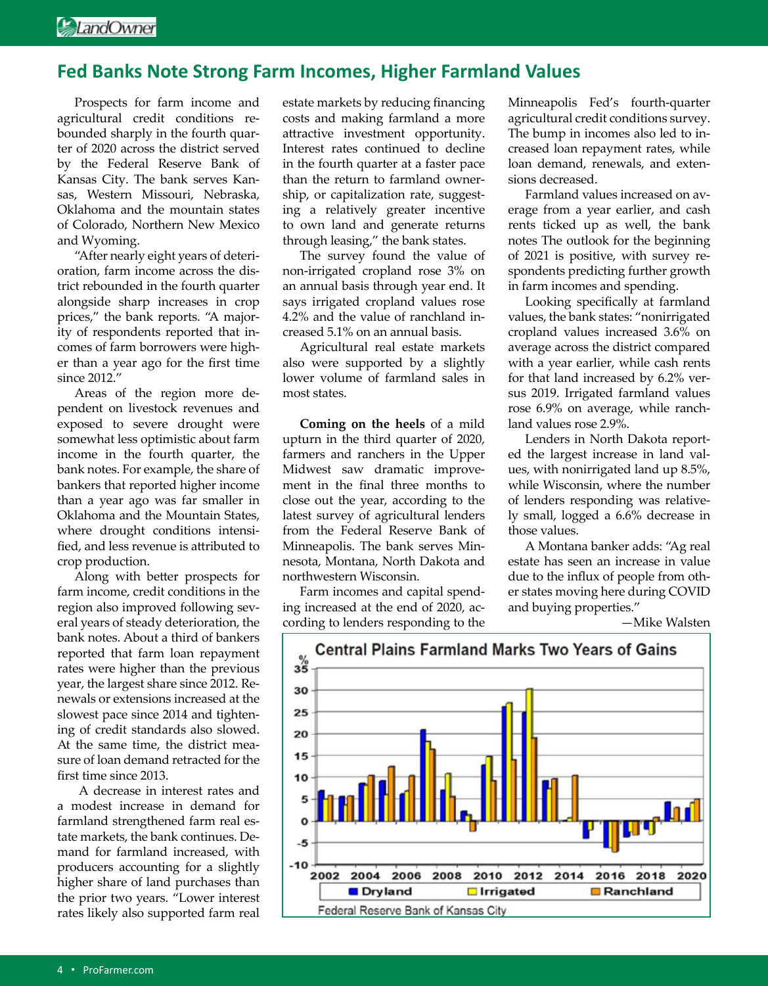### **Fed Banks Note Strong Farm Incomes, Higher Farmland Values**

Prospects for farm income and agricultural credit conditions rebounded sharply in the fourth quarter of 2020 across the district served by the Federal Reserve Bank of Kansas City. The bank serves Kansas, Western Missouri, Nebraska, Oklahoma and the mountain states of Colorado, Northern New Mexico and Wyoming.

"After nearly eight years of deterioration, farm income across the district rebounded in the fourth quarter alongside sharp increases in crop prices," the bank reports. "A majority of respondents reported that incomes of farm borrowers were higher than a year ago for the first time since 2012."

Areas of the region more dependent on livestock revenues and exposed to severe drought were somewhat less optimistic about farm income in the fourth quarter, the bank notes. For example, the share of bankers that reported higher income than a year ago was far smaller in Oklahoma and the Mountain States, where drought conditions intensified, and less revenue is attributed to crop production.

Along with better prospects for farm income, credit conditions in the region also improved following several years of steady deterioration, the bank notes. About a third of bankers reported that farm loan repayment rates were higher than the previous year, the largest share since 2012. Renewals or extensions increased at the slowest pace since 2014 and tightening of credit standards also slowed. At the same time, the district measure of loan demand retracted for the first time since 2013.

 A decrease in interest rates and a modest increase in demand for farmland strengthened farm real estate markets, the bank continues. Demand for farmland increased, with producers accounting for a slightly higher share of land purchases than the prior two years. "Lower interest rates likely also supported farm real estate markets by reducing financing costs and making farmland a more attractive investment opportunity. Interest rates continued to decline in the fourth quarter at a faster pace than the return to farmland ownership, or capitalization rate, suggesting a relatively greater incentive to own land and generate returns through leasing," the bank states.

The survey found the value of non-irrigated cropland rose 3% on an annual basis through year end. It says irrigated cropland values rose 4.2% and the value of ranchland increased 5.1% on an annual basis.

Agricultural real estate markets also were supported by a slightly lower volume of farmland sales in most states.

**Coming on the heels** of a mild upturn in the third quarter of 2020, farmers and ranchers in the Upper Midwest saw dramatic improvement in the final three months to close out the year, according to the latest survey of agricultural lenders from the Federal Reserve Bank of Minneapolis. The bank serves Minnesota, Montana, North Dakota and northwestern Wisconsin.

Farm incomes and capital spending increased at the end of 2020, according to lenders responding to the

Minneapolis Fed's fourth-quarter agricultural credit conditions survey. The bump in incomes also led to increased loan repayment rates, while loan demand, renewals, and extensions decreased.

Farmland values increased on average from a year earlier, and cash rents ticked up as well, the bank notes The outlook for the beginning of 2021 is positive, with survey respondents predicting further growth in farm incomes and spending.

Looking specifically at farmland values, the bank states: "nonirrigated cropland values increased 3.6% on average across the district compared with a year earlier, while cash rents for that land increased by 6.2% versus 2019. Irrigated farmland values rose 6.9% on average, while ranchland values rose 2.9%.

Lenders in North Dakota reported the largest increase in land values, with nonirrigated land up 8.5%, while Wisconsin, where the number of lenders responding was relatively small, logged a 6.6% decrease in those values.

A Montana banker adds: "Ag real estate has seen an increase in value due to the influx of people from other states moving here during COVID and buying properties."

—Mike Walsten

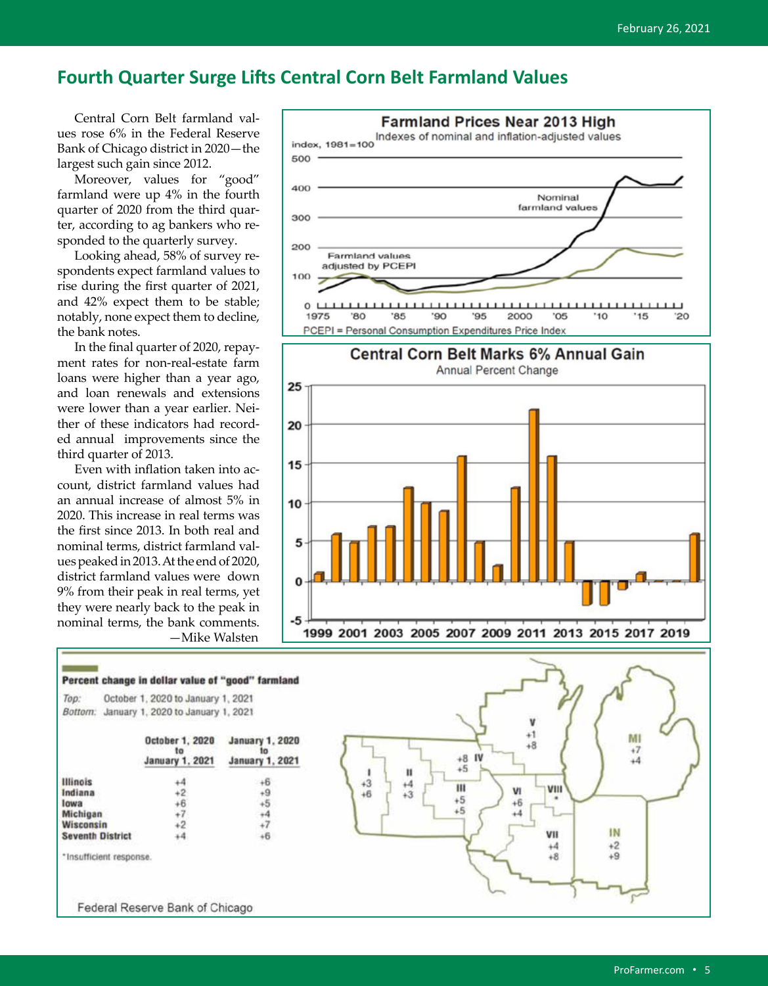### **Fourth Quarter Surge Lifts Central Corn Belt Farmland Values**

Central Corn Belt farmland values rose 6% in the Federal Reserve Bank of Chicago district in 2020—the largest such gain since 2012.

Moreover, values for "good" farmland were up 4% in the fourth quarter of 2020 from the third quarter, according to ag bankers who responded to the quarterly survey.

Looking ahead, 58% of survey respondents expect farmland values to rise during the first quarter of 2021, and 42% expect them to be stable; notably, none expect them to decline, the bank notes.

In the final quarter of 2020, repayment rates for non-real-estate farm loans were higher than a year ago, and loan renewals and extensions were lower than a year earlier. Neither of these indicators had recorded annual improvements since the third quarter of 2013.

Even with inflation taken into account, district farmland values had an annual increase of almost 5% in 2020. This increase in real terms was the first since 2013. In both real and nominal terms, district farmland values peaked in 2013. At the end of 2020, district farmland values were down 9% from their peak in real terms, yet they were nearly back to the peak in nominal terms, the bank comments. —Mike Walsten



#### Percent change in dollar value of "good" farmland October 1, 2020 to January 1, 2021 Top: Bottom: January 1, 2020 to January 1, 2021

|                         | October 1, 2020<br><b>January 1, 2021</b> | <b>January 1, 2020</b><br><b>January 1, 2021</b> |
|-------------------------|-------------------------------------------|--------------------------------------------------|
| <b>Illinois</b>         |                                           |                                                  |
| Indiana                 |                                           |                                                  |
| lowa                    |                                           |                                                  |
| Michigan                |                                           |                                                  |
| Wisconsin               |                                           |                                                  |
| <b>Seventh District</b> |                                           |                                                  |
|                         |                                           |                                                  |

\*Insufficient response.

Federal Reserve Bank of Chicago

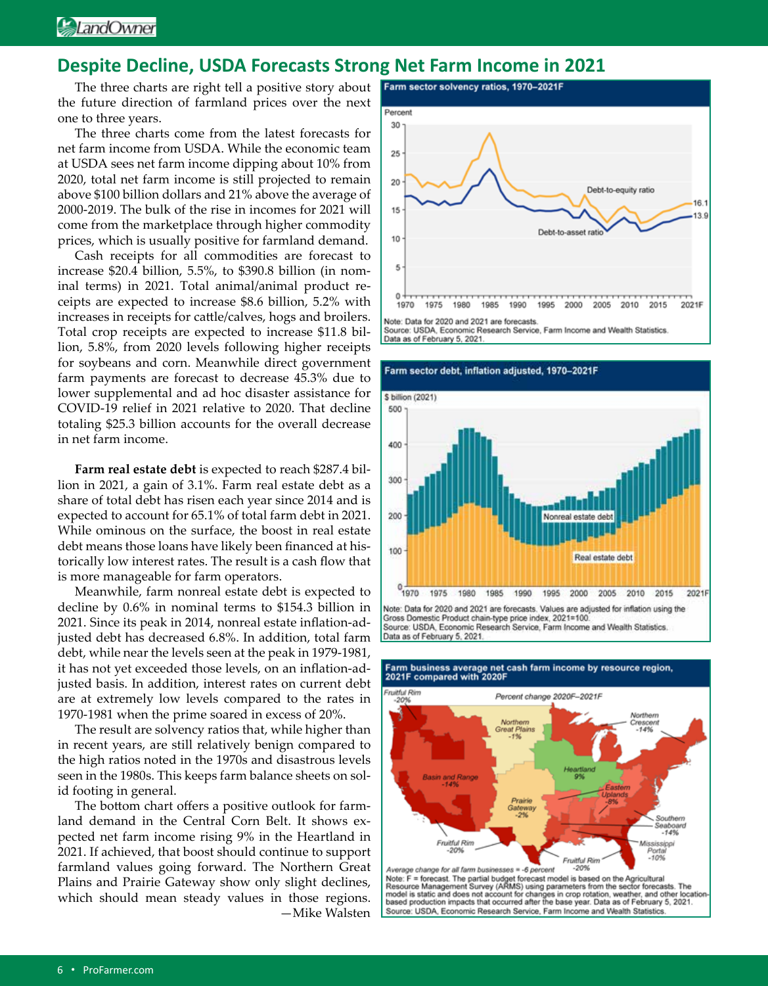### **Despite Decline, USDA Forecasts Strong Net Farm Income in 2021**

The three charts are right tell a positive story about the future direction of farmland prices over the next one to three years.

The three charts come from the latest forecasts for net farm income from USDA. While the economic team at USDA sees net farm income dipping about 10% from 2020, total net farm income is still projected to remain above \$100 billion dollars and 21% above the average of 2000-2019. The bulk of the rise in incomes for 2021 will come from the marketplace through higher commodity prices, which is usually positive for farmland demand.

Cash receipts for all commodities are forecast to increase \$20.4 billion, 5.5%, to \$390.8 billion (in nominal terms) in 2021. Total animal/animal product receipts are expected to increase \$8.6 billion, 5.2% with increases in receipts for cattle/calves, hogs and broilers. Total crop receipts are expected to increase \$11.8 billion, 5.8%, from 2020 levels following higher receipts for soybeans and corn. Meanwhile direct government farm payments are forecast to decrease 45.3% due to lower supplemental and ad hoc disaster assistance for COVID-19 relief in 2021 relative to 2020. That decline totaling \$25.3 billion accounts for the overall decrease in net farm income.

**Farm real estate debt** is expected to reach \$287.4 billion in 2021, a gain of 3.1%. Farm real estate debt as a share of total debt has risen each year since 2014 and is expected to account for 65.1% of total farm debt in 2021. While ominous on the surface, the boost in real estate debt means those loans have likely been financed at historically low interest rates. The result is a cash flow that is more manageable for farm operators.

Meanwhile, farm nonreal estate debt is expected to decline by 0.6% in nominal terms to \$154.3 billion in 2021. Since its peak in 2014, nonreal estate inflation-adjusted debt has decreased 6.8%. In addition, total farm debt, while near the levels seen at the peak in 1979-1981, it has not yet exceeded those levels, on an inflation-adjusted basis. In addition, interest rates on current debt are at extremely low levels compared to the rates in 1970-1981 when the prime soared in excess of 20%.

The result are solvency ratios that, while higher than in recent years, are still relatively benign compared to the high ratios noted in the 1970s and disastrous levels seen in the 1980s. This keeps farm balance sheets on solid footing in general.

The bottom chart offers a positive outlook for farmland demand in the Central Corn Belt. It shows expected net farm income rising 9% in the Heartland in 2021. If achieved, that boost should continue to support farmland values going forward. The Northern Great Plains and Prairie Gateway show only slight declines, which should mean steady values in those regions. —Mike Walsten



Source: USDA, Economic Research Service, Farm Income and Wealth Statistics. Data as of February 5, 2021.

Farm sector debt, inflation adjusted, 1970-2021F



Data as of February 5, 2021.



### Farm business average net cash farm income by resource region, 2021F compared with 2020F

Average change for all rate m businesses = -0 percent<br>Note: F = forecast. The partial budget forecast model is based on the Agricultural<br>Nesource Management Survey (ARMS) using parameters from the sector forecasts. The<br>mod Source: USDA, Economic Research Service, Farm Income and Wealth Statistics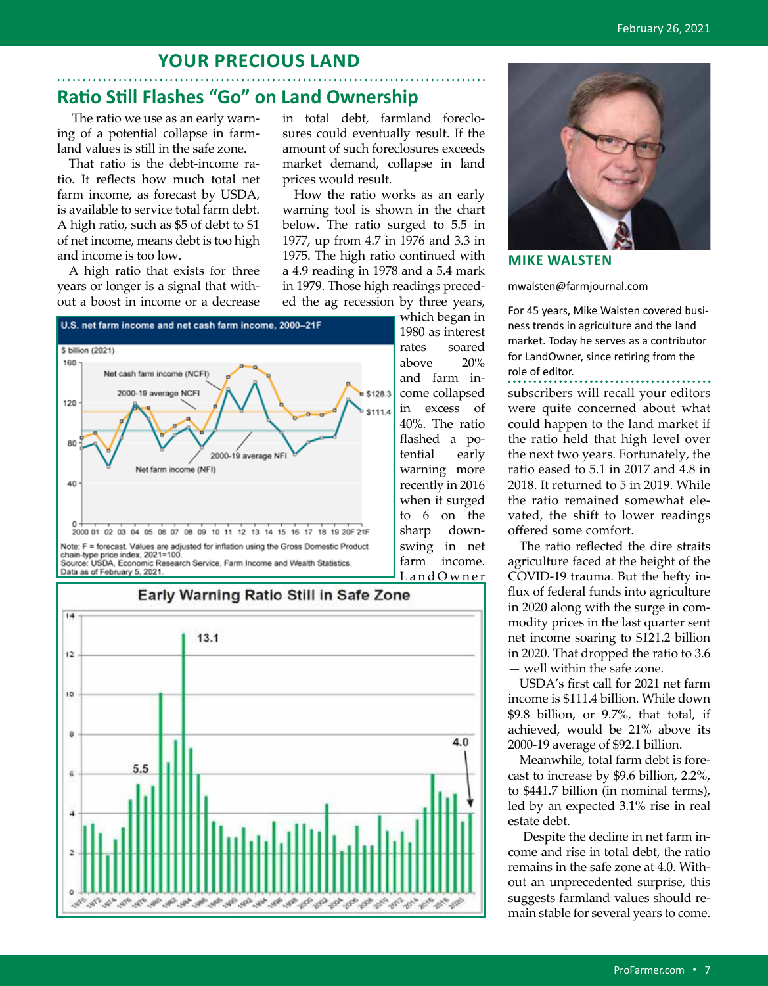### **YOUR PRECIOUS LAND**

### **Ratio Still Flashes "Go" on Land Ownership**

 The ratio we use as an early warning of a potential collapse in farmland values is still in the safe zone.

That ratio is the debt-income ratio. It reflects how much total net farm income, as forecast by USDA, is available to service total farm debt. A high ratio, such as \$5 of debt to \$1 of net income, means debt is too high and income is too low.

A high ratio that exists for three years or longer is a signal that without a boost in income or a decrease

in total debt, farmland foreclosures could eventually result. If the amount of such foreclosures exceeds market demand, collapse in land prices would result.

How the ratio works as an early warning tool is shown in the chart below. The ratio surged to 5.5 in 1977, up from 4.7 in 1976 and 3.3 in 1975. The high ratio continued with a 4.9 reading in 1978 and a 5.4 mark in 1979. Those high readings preceded the ag recession by three years,

> farm income. L and Owner



Note: F = forecast. Values are adjusted for inflation using the Gross Domestic Product chain-type price index, 2021=100.<br>Source: USDA, Economic Research Service, Farm Income and Wealth Statistics. Data as of February 5, 2021.



# Early Warning Ratio Still in Safe Zone



**MIKE WALSTEN** 

mwalsten@farmjournal.com

For 45 years, Mike Walsten covered business trends in agriculture and the land market. Today he serves as a contributor for LandOwner, since retiring from the role of editor.

subscribers will recall your editors were quite concerned about what could happen to the land market if the ratio held that high level over the next two years. Fortunately, the ratio eased to 5.1 in 2017 and 4.8 in 2018. It returned to 5 in 2019. While the ratio remained somewhat elevated, the shift to lower readings offered some comfort.

The ratio reflected the dire straits agriculture faced at the height of the COVID-19 trauma. But the hefty influx of federal funds into agriculture in 2020 along with the surge in commodity prices in the last quarter sent net income soaring to \$121.2 billion in 2020. That dropped the ratio to 3.6 — well within the safe zone.

USDA's first call for 2021 net farm income is \$111.4 billion. While down \$9.8 billion, or 9.7%, that total, if achieved, would be 21% above its 2000-19 average of \$92.1 billion.

Meanwhile, total farm debt is forecast to increase by \$9.6 billion, 2.2%, to \$441.7 billion (in nominal terms), led by an expected 3.1% rise in real estate debt.

 Despite the decline in net farm income and rise in total debt, the ratio remains in the safe zone at 4.0. Without an unprecedented surprise, this suggests farmland values should remain stable for several years to come.